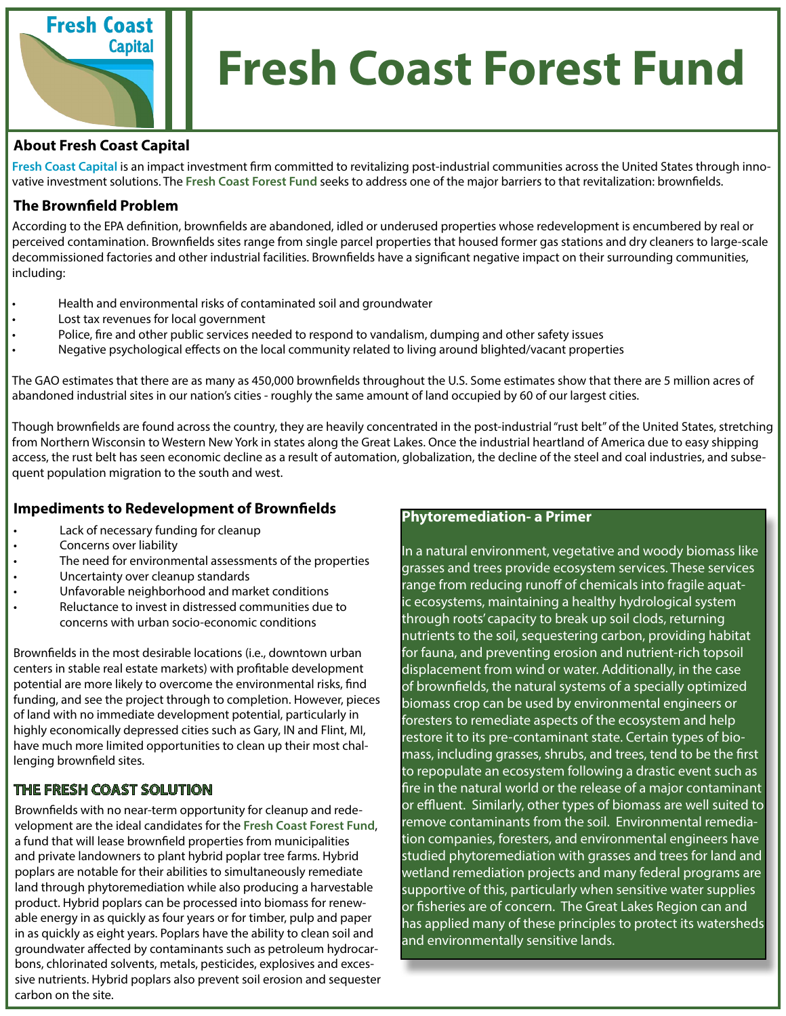

# **Fresh Coast Forest Fund**

#### **About Fresh Coast Capital**

**Fresh Coast Capital** is an impact investment firm committed to revitalizing post-industrial communities across the United States through innovative investment solutions. The **Fresh Coast Forest Fund** seeks to address one of the major barriers to that revitalization: brownfields.

#### **The Brownfield Problem**

According to the EPA definition, brownfields are abandoned, idled or underused properties whose redevelopment is encumbered by real or perceived contamination. Brownfields sites range from single parcel properties that housed former gas stations and dry cleaners to large-scale decommissioned factories and other industrial facilities. Brownfields have a significant negative impact on their surrounding communities, including:

- Health and environmental risks of contaminated soil and groundwater
- Lost tax revenues for local government
- Police, fire and other public services needed to respond to vandalism, dumping and other safety issues
- Negative psychological effects on the local community related to living around blighted/vacant properties

The GAO estimates that there are as many as 450,000 brownfields throughout the U.S. Some estimates show that there are 5 million acres of abandoned industrial sites in our nation's cities - roughly the same amount of land occupied by 60 of our largest cities.

Though brownfields are found across the country, they are heavily concentrated in the post-industrial "rust belt" of the United States, stretching from Northern Wisconsin to Western New York in states along the Great Lakes. Once the industrial heartland of America due to easy shipping access, the rust belt has seen economic decline as a result of automation, globalization, the decline of the steel and coal industries, and subsequent population migration to the south and west.

### **Impediments to Redevelopment of Brownfields**

- Lack of necessary funding for cleanup
- Concerns over liability
- The need for environmental assessments of the properties
- Uncertainty over cleanup standards
- Unfavorable neighborhood and market conditions
- Reluctance to invest in distressed communities due to concerns with urban socio-economic conditions

Brownfields in the most desirable locations (i.e., downtown urban centers in stable real estate markets) with profitable development potential are more likely to overcome the environmental risks, find funding, and see the project through to completion. However, pieces of land with no immediate development potential, particularly in highly economically depressed cities such as Gary, IN and Flint, MI, have much more limited opportunities to clean up their most challenging brownfield sites.

## **THE FRESH COAST SOLUTION**

Brownfields with no near-term opportunity for cleanup and redevelopment are the ideal candidates for the **Fresh Coast Forest Fund**, a fund that will lease brownfield properties from municipalities and private landowners to plant hybrid poplar tree farms. Hybrid poplars are notable for their abilities to simultaneously remediate land through phytoremediation while also producing a harvestable product. Hybrid poplars can be processed into biomass for renewable energy in as quickly as four years or for timber, pulp and paper in as quickly as eight years. Poplars have the ability to clean soil and groundwater affected by contaminants such as petroleum hydrocarbons, chlorinated solvents, metals, pesticides, explosives and excessive nutrients. Hybrid poplars also prevent soil erosion and sequester carbon on the site.

#### **Phytoremediation- a Primer**

In a natural environment, vegetative and woody biomass like grasses and trees provide ecosystem services. These services range from reducing runoff of chemicals into fragile aquatic ecosystems, maintaining a healthy hydrological system through roots' capacity to break up soil clods, returning nutrients to the soil, sequestering carbon, providing habitat for fauna, and preventing erosion and nutrient-rich topsoil displacement from wind or water. Additionally, in the case of brownfields, the natural systems of a specially optimized biomass crop can be used by environmental engineers or foresters to remediate aspects of the ecosystem and help restore it to its pre-contaminant state. Certain types of biomass, including grasses, shrubs, and trees, tend to be the first to repopulate an ecosystem following a drastic event such as fire in the natural world or the release of a major contaminant or effluent. Similarly, other types of biomass are well suited to remove contaminants from the soil. Environmental remediation companies, foresters, and environmental engineers have studied phytoremediation with grasses and trees for land and wetland remediation projects and many federal programs are supportive of this, particularly when sensitive water supplies or fisheries are of concern. The Great Lakes Region can and has applied many of these principles to protect its watersheds and environmentally sensitive lands.